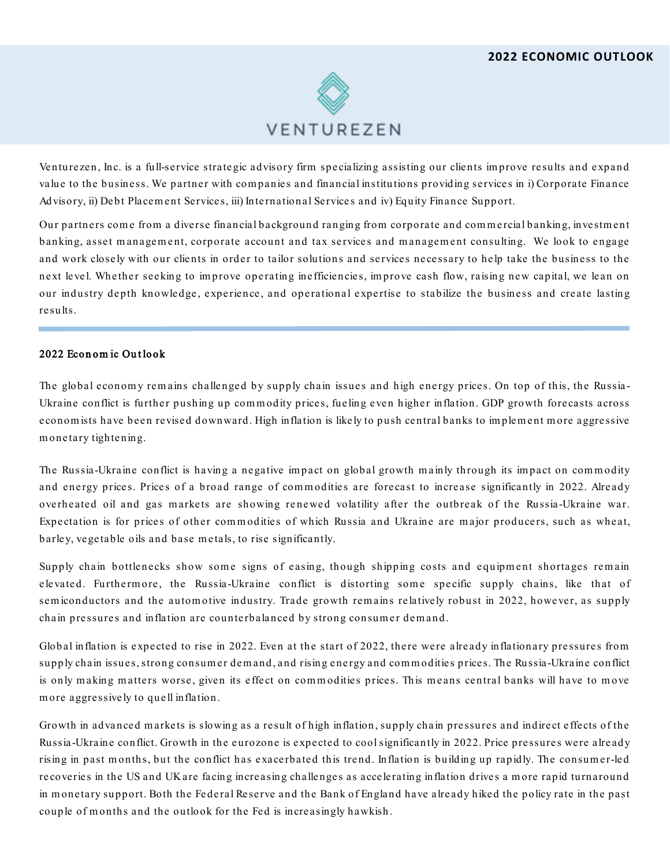

Venturezen, Inc. is a full-service strategic advisory firm specializing assisting our clients im prove results and expand value to the business. We partner with com panies and financial institu tions providing services in i) Corporate Finance Advisory, ii) Debt Placem ent Services, iii) Internation al Services and iv) Equity Finance Support.

Our partners come from a diverse financial background ranging from corporate and commercial banking, investment banking, asset management, corporate account and tax services and management consulting. We look to engage and work closely with our clients in order to tailor solutions and services necessary to help take the business to the next level. Whether seeking to im prove operating inefficiencies, im prove cash flow, raising new capital, we lean on our industry depth knowledge, experience, and operational expertise to stabilize the business and create lasting results.

## 2022 Economic Outlook

The global economy remains challenged by supply chain issues and high energy prices. On top of this, the Russia-Ukraine conflict is further pushing up com m odity prices, fueling even higher inflation. GDP growth forecasts across econom ists have been revised downward. High inflation is likely to push central banks to im plem ent m ore aggressive m onetary tightening.

The Russia-Ukraine conflict is having a negative im pact on global growth m ainly through its im pact on com m odity and energy prices. Prices of a broad range of commodities are forecast to increase significantly in 2022. Already overheated oil and gas markets are showing renewed volatility after the outbreak of the Russia-Ukraine war. Expectation is for prices of other com m odities of which Russia and Ukraine are m ajor producers, such as wheat, barley, vegetable oils and base m etals, to rise significantly.

Supply chain bottlenecks show some signs of easing, though shipping costs and equipment shortages remain elevated. Furthermore, the Russia-Ukraine conflict is distorting some specific supply chains, like that of sem iconductors and the autom otive industry. Trade growth rem ains relatively robust in 2022, however, as supply chain pressures and inflation are counterbalanced by strong consumer demand.

Glob al inflation is expected to rise in 2022. Even at the start of 2022, there were already inflation ary pressures from supply chain issues, strong consumer demand, and rising energy and commodities prices. The Russia-Ukraine conflict is only making matters worse, given its effect on commodities prices. This means central banks will have to move m ore aggressively to quell inflation.

Growth in advanced m arkets is slowing as a result of high inflation , supply chain pressures and indirect effects of the Russia-Ukraine con flict. Growth in the eurozone is expected to cool significantly in 2022. Price pressures were already rising in past months, but the conflict has exacerbated this trend. Inflation is building up rapidly. The consumer-led recoveries in the US and UK are facing increasing challenges as accelerating inflation drives a m ore rapid turnaround in monetary support. Both the Federal Reserve and the Bank of England have already hiked the policy rate in the past couple of m onths and the outlook for the Fed is increasingly hawkish.